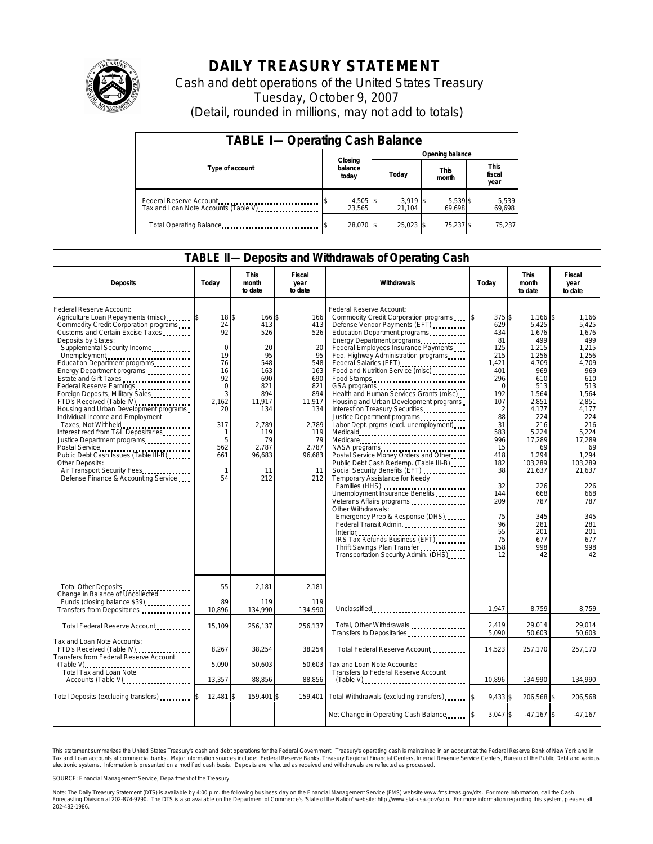

## **DAILY TREASURY STATEMENT**

Cash and debt operations of the United States Treasury Tuesday, October 9, 2007 (Detail, rounded in millions, may not add to totals)

| <b>TABLE I-Operating Cash Balance</b>                           |                             |                      |                      |                               |  |  |  |
|-----------------------------------------------------------------|-----------------------------|----------------------|----------------------|-------------------------------|--|--|--|
|                                                                 |                             | Opening balance      |                      |                               |  |  |  |
| Type of account                                                 | Closing<br>balance<br>today | Today                | <b>This</b><br>month | <b>This</b><br>fiscal<br>year |  |  |  |
| Federal Reserve Account<br>Tax and Loan Note Accounts (Table V) | 4,505 \$<br>23.565          | $3,919$ \$<br>21,104 | 5,539 \$<br>69,698   | 5,539<br>69,698               |  |  |  |
| Total Operating Balance                                         | 28,070 \$                   | 25.023 \$            | 75,237 \$            | 75,237                        |  |  |  |

## **TABLE II—Deposits and Withdrawals of Operating Cash**

| <b>Deposits</b>                                                                                                                                                                                                                                                                                                                                                                                                                                                                                                                                                                                                                                                                                                       | Today                                                                                                                              | This<br>month<br>to date                                                                                                                   | Fiscal<br>year<br>to date                                                                                                               | Withdrawals                                                                                                                                                                                                                                                                                                                                                                                                                                                                                                                                                                                                                                                                                                                                                                                                                                                                                                                               | Today                                                                                                                                                                                                  | <b>This</b><br>month<br>to date                                                                                                                                                                                                                   | Fiscal<br>year<br>to date                                                                                                                                                                                                                    |
|-----------------------------------------------------------------------------------------------------------------------------------------------------------------------------------------------------------------------------------------------------------------------------------------------------------------------------------------------------------------------------------------------------------------------------------------------------------------------------------------------------------------------------------------------------------------------------------------------------------------------------------------------------------------------------------------------------------------------|------------------------------------------------------------------------------------------------------------------------------------|--------------------------------------------------------------------------------------------------------------------------------------------|-----------------------------------------------------------------------------------------------------------------------------------------|-------------------------------------------------------------------------------------------------------------------------------------------------------------------------------------------------------------------------------------------------------------------------------------------------------------------------------------------------------------------------------------------------------------------------------------------------------------------------------------------------------------------------------------------------------------------------------------------------------------------------------------------------------------------------------------------------------------------------------------------------------------------------------------------------------------------------------------------------------------------------------------------------------------------------------------------|--------------------------------------------------------------------------------------------------------------------------------------------------------------------------------------------------------|---------------------------------------------------------------------------------------------------------------------------------------------------------------------------------------------------------------------------------------------------|----------------------------------------------------------------------------------------------------------------------------------------------------------------------------------------------------------------------------------------------|
| Federal Reserve Account:<br>Agriculture Loan Repayments (misc)<br>Commodity Credit Corporation programs<br>Customs and Certain Excise Taxes<br>Deposits by States:<br>Supplemental Security Income<br>Unemployment<br>Education Department programs<br>Energy Department programs<br>Estate and Gift Taxes<br>Federal Reserve Earnings<br>Foreign Deposits, Military Sales<br>FTD's Received (Table IV)<br>Housing and Urban Development programs<br>Individual Income and Employment<br>Taxes, Not Withheld<br>Interest recd from T&L Depositaries<br>Justice Department programs<br>Public Debt Cash Issues (Table III-B)<br>Other Deposits:<br>Air Transport Security Fees<br>Defense Finance & Accounting Service | 18 \$<br>24<br>92<br>$\mathbf 0$<br>19<br>76<br>16<br>92<br>$\Omega$<br>3<br>2,162<br>20<br>317<br>1<br>5<br>562<br>661<br>1<br>54 | 166 \$<br>413<br>526<br>20<br>95<br>548<br>163<br>690<br>821<br>894<br>11,917<br>134<br>2,789<br>119<br>79<br>2,787<br>96,683<br>11<br>212 | 166<br>413<br>526<br>20<br>95<br>548<br>163<br>690<br>821<br>894<br>11,917<br>134<br>2,789<br>119<br>79<br>2,787<br>96,683<br>11<br>212 | Federal Reserve Account:<br>Commodity Credit Corporation programs<br>Defense Vendor Payments (EFT)<br>Education Department programs<br>Energy Department programs<br>Federal Employees Insurance Payments<br>Fed. Highway Administration programs<br>Federal Salaries (EFT)<br>Federal Salaries (EFT)<br>Food and Nutrition Service (misc)<br>Food Stamps<br>Health and Human Services Grants (misc)<br>Housing and Urban Development programs<br>Interest on Treasury Securities<br>Labor Dept. prgms (excl. unemployment)<br>Medicare<br>NASA programs<br>Postal Service Money Orders and Other<br>Public Debt Cash Redemp. (Table III-B)<br>Social Security Benefits (EFT) [1001]<br>Temporary Assistance for Needy<br>Families (HHS)<br>Unemployment Insurance Benefits<br>Veterans Affairs programs<br>Other Withdrawals:<br>Emergency Prep & Response (DHS)<br>Thrift Savings Plan Transfer<br>Transportation Security Admin. (DHS) | 375 \$<br>629<br>434<br>81<br>125<br>215<br>1,421<br>401<br>296<br>$\Omega$<br>192<br>107<br>88<br>31<br>583<br>996<br>15<br>418<br>182<br>38<br>32<br>144<br>209<br>75<br>96<br>55<br>75<br>158<br>12 | $1,166$ \$<br>5,425<br>1,676<br>499<br>1,215<br>1,256<br>4,709<br>969<br>610<br>513<br>1,564<br>2,851<br>4,177<br>224<br>216<br>5,224<br>17,289<br>69<br>1,294<br>103,289<br>21,637<br>226<br>668<br>787<br>345<br>281<br>201<br>677<br>998<br>42 | 1,166<br>5.425<br>1,676<br>499<br>1,215<br>1.256<br>4,709<br>969<br>610<br>513<br>1,564<br>2,851<br>4,177<br>224<br>216<br>5,224<br>17.289<br>69<br>1,294<br>103,289<br>21,637<br>226<br>668<br>787<br>345<br>281<br>201<br>677<br>998<br>42 |
| Total Other Deposits<br>Change in Balance of Uncollected<br>Funds (closing balance \$39)                                                                                                                                                                                                                                                                                                                                                                                                                                                                                                                                                                                                                              | 55<br>89                                                                                                                           | 2.181<br>119                                                                                                                               | 2.181<br>119                                                                                                                            |                                                                                                                                                                                                                                                                                                                                                                                                                                                                                                                                                                                                                                                                                                                                                                                                                                                                                                                                           | 1.947                                                                                                                                                                                                  | 8.759                                                                                                                                                                                                                                             |                                                                                                                                                                                                                                              |
| Transfers from Depositaries                                                                                                                                                                                                                                                                                                                                                                                                                                                                                                                                                                                                                                                                                           | 10,896                                                                                                                             | 134,990                                                                                                                                    | 134,990                                                                                                                                 | Unclassified                                                                                                                                                                                                                                                                                                                                                                                                                                                                                                                                                                                                                                                                                                                                                                                                                                                                                                                              | 2,419                                                                                                                                                                                                  | 29,014                                                                                                                                                                                                                                            | 8,759<br>29,014                                                                                                                                                                                                                              |
| Total Federal Reserve Account                                                                                                                                                                                                                                                                                                                                                                                                                                                                                                                                                                                                                                                                                         | 15,109                                                                                                                             | 256,137                                                                                                                                    | 256,137                                                                                                                                 | Total, Other Withdrawals<br>Transfers to Depositaries                                                                                                                                                                                                                                                                                                                                                                                                                                                                                                                                                                                                                                                                                                                                                                                                                                                                                     | 5,090                                                                                                                                                                                                  | 50,603                                                                                                                                                                                                                                            | 50,603                                                                                                                                                                                                                                       |
| Tax and Loan Note Accounts:<br>FTD's Received (Table IV)<br>Transfers from Federal Reserve Account                                                                                                                                                                                                                                                                                                                                                                                                                                                                                                                                                                                                                    | 8,267                                                                                                                              | 38,254                                                                                                                                     | 38,254                                                                                                                                  | Total Federal Reserve Account                                                                                                                                                                                                                                                                                                                                                                                                                                                                                                                                                                                                                                                                                                                                                                                                                                                                                                             | 14,523                                                                                                                                                                                                 | 257,170                                                                                                                                                                                                                                           | 257,170                                                                                                                                                                                                                                      |
| Total Tax and Loan Note                                                                                                                                                                                                                                                                                                                                                                                                                                                                                                                                                                                                                                                                                               | 5.090<br>13,357                                                                                                                    | 50,603<br>88,856                                                                                                                           | 50,603<br>88,856                                                                                                                        | Tax and Loan Note Accounts:<br>Transfers to Federal Reserve Account<br>$(Table V)$                                                                                                                                                                                                                                                                                                                                                                                                                                                                                                                                                                                                                                                                                                                                                                                                                                                        | 10.896                                                                                                                                                                                                 | 134.990                                                                                                                                                                                                                                           | 134.990                                                                                                                                                                                                                                      |
| Accounts (Table V)                                                                                                                                                                                                                                                                                                                                                                                                                                                                                                                                                                                                                                                                                                    | 12,481                                                                                                                             | 159,401                                                                                                                                    | 159.401                                                                                                                                 | Total Withdrawals (excluding transfers)                                                                                                                                                                                                                                                                                                                                                                                                                                                                                                                                                                                                                                                                                                                                                                                                                                                                                                   | 9,433                                                                                                                                                                                                  |                                                                                                                                                                                                                                                   |                                                                                                                                                                                                                                              |
| Total Deposits (excluding transfers)                                                                                                                                                                                                                                                                                                                                                                                                                                                                                                                                                                                                                                                                                  |                                                                                                                                    |                                                                                                                                            |                                                                                                                                         |                                                                                                                                                                                                                                                                                                                                                                                                                                                                                                                                                                                                                                                                                                                                                                                                                                                                                                                                           |                                                                                                                                                                                                        | 206,568 \$                                                                                                                                                                                                                                        | 206,568                                                                                                                                                                                                                                      |
|                                                                                                                                                                                                                                                                                                                                                                                                                                                                                                                                                                                                                                                                                                                       |                                                                                                                                    |                                                                                                                                            |                                                                                                                                         | Net Change in Operating Cash Balance                                                                                                                                                                                                                                                                                                                                                                                                                                                                                                                                                                                                                                                                                                                                                                                                                                                                                                      | $3.047$ \$                                                                                                                                                                                             | $-47,167$ \$                                                                                                                                                                                                                                      | $-47,167$                                                                                                                                                                                                                                    |

This statement summarizes the United States Treasury's cash and debt operations for the Federal Government.<br>Tax and Loan accounts at commercial banks. Major information sources include: Federal Reserve Banks, Trea<br>electr narizes the United States Treasury's cash and debt operations for the Federal Government. Treasury's operating cash is maintained in an account at the Federal Reserve Bank of New York and in<br>ints at commercial banks. Major

SOURCE: Financial Management Service, Department of the Treasury

Note: The Daily Treasury Statement (DTS) is available by 4:00 p.m. the following business day on the Financial Management Service (FMS) website www.fms.treas.gov/dts. For more information, call the Cash<br>Forecasting Divisio 202-482-1986.